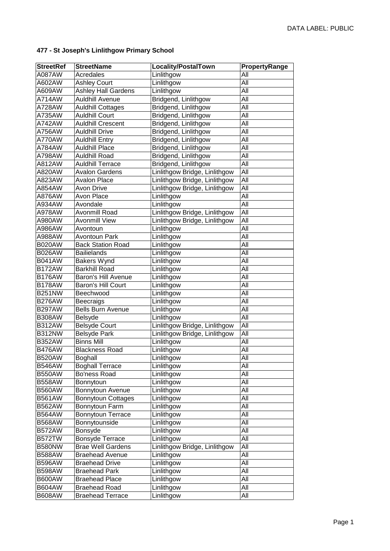| <b>StreetRef</b> | <b>StreetName</b>          | Locality/PostalTown           | PropertyRange |
|------------------|----------------------------|-------------------------------|---------------|
| A087AW           | Acredales                  | Linlithgow                    | All           |
| A602AW           | <b>Ashley Court</b>        | Linlithgow                    | All           |
| A609AW           | <b>Ashley Hall Gardens</b> | Linlithgow                    | All           |
| A714AW           | <b>Auldhill Avenue</b>     | Bridgend, Linlithgow          | All           |
| A728AW           | <b>Auldhill Cottages</b>   | Bridgend, Linlithgow          | All           |
| A735AW           | <b>Auldhill Court</b>      | Bridgend, Linlithgow          | All           |
| A742AW           | <b>Auldhill Crescent</b>   | Bridgend, Linlithgow          | All           |
| A756AW           | <b>Auldhill Drive</b>      | Bridgend, Linlithgow          | All           |
| A770AW           | <b>Auldhill Entry</b>      | Bridgend, Linlithgow          | All           |
| A784AW           | <b>Auldhill Place</b>      | Bridgend, Linlithgow          | All           |
| A798AW           | <b>Auldhill Road</b>       | Bridgend, Linlithgow          | All           |
| A812AW           | <b>Auldhill Terrace</b>    | Bridgend, Linlithgow          | All           |
| A820AW           | <b>Avalon Gardens</b>      | Linlithgow Bridge, Linlithgow | All           |
| A823AW           | <b>Avalon Place</b>        | Linlithgow Bridge, Linlithgow | All           |
| A854AW           | <b>Avon Drive</b>          | Linlithgow Bridge, Linlithgow | All           |
| A876AW           | Avon Place                 | Linlithgow                    | All           |
| A934AW           | Avondale                   | Linlithgow                    | All           |
| A978AW           | Avonmill Road              | Linlithgow Bridge, Linlithgow | All           |
| A980AW           | <b>Avonmill View</b>       | Linlithgow Bridge, Linlithgow | All           |
| A986AW           | Avontoun                   | Linlithgow                    | All           |
| A988AW           | <b>Avontoun Park</b>       | Linlithgow                    | All           |
| <b>B020AW</b>    | <b>Back Station Road</b>   | Linlithgow                    | All           |
| <b>B026AW</b>    | <b>Bailielands</b>         | Linlithgow                    | All           |
| <b>B041AW</b>    | Bakers Wynd                | Linlithgow                    | All           |
| <b>B172AW</b>    | <b>Barkhill Road</b>       | Linlithgow                    | All           |
| <b>B176AW</b>    | <b>Baron's Hill Avenue</b> | Linlithgow                    | All           |
| <b>B178AW</b>    | Baron's Hill Court         | Linlithgow                    | All           |
| <b>B251NW</b>    | Beechwood                  | Linlithgow                    | All           |
| <b>B276AW</b>    | <b>Beecraigs</b>           | Linlithgow                    | All           |
| <b>B297AW</b>    | <b>Bells Burn Avenue</b>   | Linlithgow                    | All           |
| <b>B308AW</b>    | Belsyde                    | Linlithgow                    | All           |
| <b>B312AW</b>    | <b>Belsyde Court</b>       | Linlithgow Bridge, Linlithgow | All           |
| <b>B312NW</b>    | <b>Belsyde Park</b>        | Linlithgow Bridge, Linlithgow | All           |
| <b>B352AW</b>    | <b>Binns Mill</b>          | Linlithgow                    | All           |
| <b>B476AW</b>    | <b>Blackness Road</b>      | Linlithgow                    | All           |
| <b>B520AW</b>    | <b>Boghall</b>             | Linlithgow                    | All           |
| <b>B546AW</b>    | <b>Boghall Terrace</b>     | Linlithgow                    | All           |
| <b>B550AW</b>    | Bo'ness Road               | Linlithgow                    | All           |
| <b>B558AW</b>    | Bonnytoun                  | Linlithgow                    | All           |
| <b>B560AW</b>    | Bonnytoun Avenue           | Linlithgow                    | All           |
| <b>B561AW</b>    | Bonnytoun Cottages         | Linlithgow                    | All           |
| <b>B562AW</b>    | Bonnytoun Farm             | Linlithgow                    | All           |
| <b>B564AW</b>    | <b>Bonnytoun Terrace</b>   | Linlithgow                    | All           |
| <b>B568AW</b>    | Bonnytounside              | Linlithgow                    | All           |
| <b>B572AW</b>    | Bonsyde                    | Linlithgow                    | All           |
| B572TW           | <b>Bonsyde Terrace</b>     | Linlithgow                    | All           |
| <b>B580NW</b>    | <b>Brae Well Gardens</b>   | Linlithgow Bridge, Linlithgow | All           |
| <b>B588AW</b>    | <b>Braehead Avenue</b>     | Linlithgow                    | All           |
| <b>B596AW</b>    | <b>Braehead Drive</b>      | Linlithgow                    | All           |
| <b>B598AW</b>    | <b>Braehead Park</b>       | Linlithgow                    | All           |
| <b>B600AW</b>    | <b>Braehead Place</b>      | Linlithgow                    | All           |
| <b>B604AW</b>    | <b>Braehead Road</b>       | Linlithgow                    | All           |
| <b>B608AW</b>    | <b>Braehead Terrace</b>    | Linlithgow                    | All           |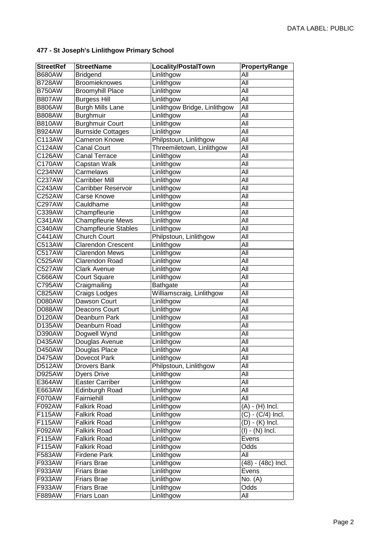| <b>StreetRef</b> | <b>StreetName</b>           | Locality/PostalTown           | PropertyRange      |
|------------------|-----------------------------|-------------------------------|--------------------|
| <b>B680AW</b>    | <b>Bridgend</b>             | Linlithgow                    | All                |
| <b>B728AW</b>    | Broomieknowes               | Linlithgow                    | All                |
| <b>B750AW</b>    | Broomyhill Place            | Linlithgow                    | All                |
| <b>B807AW</b>    | <b>Burgess Hill</b>         | Linlithgow                    | All                |
| <b>B806AW</b>    | <b>Burgh Mills Lane</b>     | Linlithgow Bridge, Linlithgow | All                |
| <b>B808AW</b>    | Burghmuir                   | Linlithgow                    | All                |
| <b>B810AW</b>    | <b>Burghmuir Court</b>      | Linlithgow                    | All                |
| <b>B924AW</b>    | <b>Burnside Cottages</b>    | Linlithgow                    | All                |
| C113AW           | <b>Cameron Knowe</b>        | Philpstoun, Linlithgow        | All                |
| C124AW           | <b>Canal Court</b>          | Threemiletown, Linlithgow     | All                |
| C126AW           | <b>Canal Terrace</b>        | Linlithgow                    | All                |
| C170AW           | Capstan Walk                | Linlithgow                    | All                |
| C234NW           | Carmelaws                   | Linlithgow                    | All                |
| C237AW           | <b>Carribber Mill</b>       | Linlithgow                    | All                |
| C243AW           | <b>Carribber Reservoir</b>  | Linlithgow                    | All                |
| C252AW           | <b>Carse Knowe</b>          | Linlithgow                    | All                |
| C297AW           | Cauldhame                   | Linlithgow                    | All                |
| C339AW           | Champfleurie                | Linlithgow                    | All                |
| C341AW           | <b>Champfleurie Mews</b>    | Linlithgow                    | All                |
| C340AW           | <b>Champfleurie Stables</b> | Linlithgow                    | All                |
| C441AW           | <b>Church Court</b>         | Philpstoun, Linlithgow        | All                |
| C513AW           | <b>Clarendon Crescent</b>   | Linlithgow                    | All                |
| C517AW           | <b>Clarendon Mews</b>       | Linlithgow                    | All                |
| C525AW           | Clarendon Road              | Linlithgow                    | All                |
| C527AW           | <b>Clark Avenue</b>         | Linlithgow                    | All                |
| C666AW           | <b>Court Square</b>         | Linlithgow                    | All                |
| C795AW           | Craigmailing                | Bathgate                      | All                |
| C825AW           | Craigs Lodges               | Williamscraig, Linlithgow     | All                |
| D080AW           | Dawson Court                | Linlithgow                    | All                |
| D088AW           | Deacons Court               | Linlithgow                    | All                |
| D120AW           | Deanburn Park               | Linlithgow                    | All                |
| D135AW           | Deanburn Road               | Linlithgow                    | All                |
| D390AW           | Dogwell Wynd                | Linlithgow                    | All                |
| D435AW           | Douglas Avenue              | Linlithgow                    | All                |
| D450AW           | Douglas Place               | Linlithgow                    | All                |
| D475AW           | Dovecot Park                | Linlithgow                    | All                |
| D512AW           | Drovers Bank                | Philpstoun, Linlithgow        | All                |
| D925AW           | <b>Dyers Drive</b>          | Linlithgow                    | All                |
| E364AW           | <b>Easter Carriber</b>      | Linlithgow                    | All                |
| E663AW           | <b>Edinburgh Road</b>       | Linlithgow                    | All                |
| F070AW           | Fairniehill                 | Linlithgow                    | All                |
| F092AW           | <b>Falkirk Road</b>         | Linlithgow                    | $(A) - (H)$ Incl.  |
| F115AW           | <b>Falkirk Road</b>         | Linlithgow                    | (C) - (C/4) Incl.  |
| F115AW           | <b>Falkirk Road</b>         | Linlithgow                    | $(D) - (K)$ Incl.  |
| F092AW           | <b>Falkirk Road</b>         | Linlithgow                    | $(I) - (N)$ Incl.  |
| F115AW           | Falkirk Road                | Linlithgow                    | Evens              |
| F115AW           | <b>Falkirk Road</b>         | Linlithgow                    | Odds               |
| F583AW           | <b>Firdene Park</b>         | Linlithgow                    | All                |
| F933AW           | <b>Friars Brae</b>          | Linlithgow                    | (48) - (48c) Incl. |
| F933AW           | <b>Friars Brae</b>          | Linlithgow                    | Evens              |
| F933AW           | <b>Friars Brae</b>          | Linlithgow                    | No. (A)            |
| F933AW           | <b>Friars Brae</b>          | Linlithgow                    | Odds               |
| F889AW           | Friars Loan                 | Linlithgow                    | All                |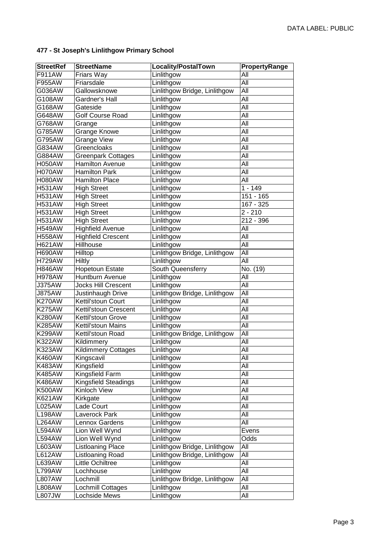| <b>StreetRef</b> | <b>StreetName</b>             | <b>Locality/PostalTown</b>    | PropertyRange |
|------------------|-------------------------------|-------------------------------|---------------|
| F911AW           | Friars Way                    | Linlithgow                    | All           |
| F955AW           | Friarsdale                    | Linlithgow                    | All           |
| G036AW           | Gallowsknowe                  | Linlithgow Bridge, Linlithgow | All           |
| G108AW           | Gardner's Hall                | Linlithgow                    | All           |
| G168AW           | Gateside                      | Linlithgow                    | All           |
| G648AW           | <b>Golf Course Road</b>       | Linlithgow                    | All           |
| G768AW           | Grange                        | Linlithgow                    | All           |
| G785AW           | Grange Knowe                  | Linlithgow                    | All           |
| G795AW           | <b>Grange View</b>            | Linlithgow                    | All           |
| G834AW           | Greencloaks                   | Linlithgow                    | All           |
| G884AW           | <b>Greenpark Cottages</b>     | Linlithgow                    | All           |
| <b>H050AW</b>    | <b>Hamilton Avenue</b>        | Linlithgow                    | All           |
| H070AW           | <b>Hamilton Park</b>          | Linlithgow                    | All           |
| <b>H080AW</b>    | <b>Hamilton Place</b>         | Linlithgow                    | All           |
| <b>H531AW</b>    | <b>High Street</b>            | Linlithgow                    | $1 - 149$     |
| <b>H531AW</b>    | <b>High Street</b>            | Linlithgow                    | 151 - 165     |
| <b>H531AW</b>    | <b>High Street</b>            | Linlithgow                    | 167 - 325     |
| <b>H531AW</b>    | <b>High Street</b>            | Linlithgow                    | $2 - 210$     |
| <b>H531AW</b>    | <b>High Street</b>            | Linlithgow                    | $212 - 396$   |
| <b>H549AW</b>    | <b>Highfield Avenue</b>       | Linlithgow                    | All           |
| <b>H558AW</b>    | <b>Highfield Crescent</b>     | Linlithgow                    | All           |
| <b>H621AW</b>    | Hillhouse                     | Linlithgow                    | All           |
| <b>H690AW</b>    | Hilltop                       | Linlithgow Bridge, Linlithgow | All           |
| <b>H729AW</b>    | Hiltly                        | Linlithgow                    | All           |
| <b>H846AW</b>    | <b>Hopetoun Estate</b>        | South Queensferry             | No. (19)      |
| <b>H978AW</b>    | Huntburn Avenue               | Linlithgow                    | All           |
| <b>J375AW</b>    | <b>Jocks Hill Crescent</b>    | Linlithgow                    | All           |
| <b>J875AW</b>    | Justinhaugh Drive             | Linlithgow Bridge, Linlithgow | All           |
| <b>K270AW</b>    | Kettil'stoun Court            | Linlithgow                    | All           |
| <b>K275AW</b>    | Kettil'stoun Crescent         | Linlithgow                    | All           |
| <b>K280AW</b>    | Kettil'stoun Grove            | Linlithgow                    | All           |
| <b>K285AW</b>    | Kettil'stoun Mains            | Linlithgow                    | All           |
| <b>K299AW</b>    | Kettil'stoun Road             | Linlithgow Bridge, Linlithgow | All           |
| K322AW           | Kildimmery                    | Linlithgow                    | All           |
| <b>K323AW</b>    | <b>Kildimmery Cottages</b>    | Linlithgow                    | All           |
| <b>K460AW</b>    | Kingscavil                    | Linlithgow                    | All           |
| K483AW           | Kingsfield                    | Linlithgow                    | All           |
| <b>K485AW</b>    | Kingsfield Farm               | Linlithgow                    | All           |
| <b>K486AW</b>    | <b>Kingsfield Steadings</b>   | Linlithgow                    | All           |
| <b>K500AW</b>    | Kinloch View                  | Linlithgow                    | All           |
| <b>K621AW</b>    | Kirkgate                      | Linlithgow                    | All           |
| L025AW           | Lade Court                    | Linlithgow                    | All           |
| <b>L198AW</b>    | Laverock Park                 | Linlithgow                    | All           |
| <b>L264AW</b>    | Lennox Gardens                | Linlithgow                    | All           |
| L594AW           | Lion Well Wynd                | Linlithgow                    | Evens         |
| L594AW           | Lion Well Wynd                | Linlithgow                    | Odds          |
| L603AW           | <b>Listloaning Place</b>      | Linlithgow Bridge, Linlithgow | All           |
| L612AW           | Listloaning Road              | Linlithgow Bridge, Linlithgow | All           |
| L639AW<br>L799AW | Little Ochiltree<br>Lochhouse | Linlithgow<br>Linlithgow      | All<br>All    |
| L807AW           | Lochmill                      | Linlithgow Bridge, Linlithgow | All           |
| L808AW           | Lochmill Cottages             | Linlithgow                    | All           |
| .807JW           | Lochside Mews                 | Linlithgow                    | All           |
|                  |                               |                               |               |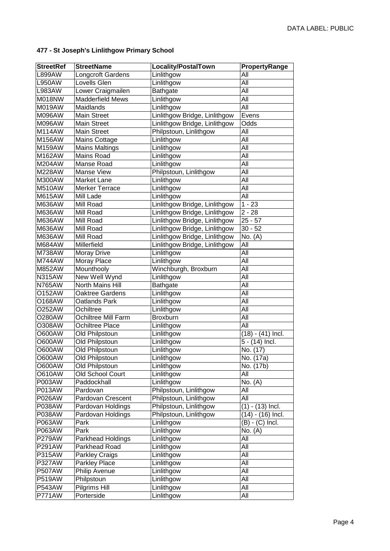| <b>StreetRef</b> | <b>StreetName</b>               | Locality/PostalTown           | PropertyRange       |
|------------------|---------------------------------|-------------------------------|---------------------|
| L899AW           | Longcroft Gardens               | Linlithgow                    | All                 |
| <b>L950AW</b>    | Lovells Glen                    | Linlithgow                    | All                 |
| L983AW           | Lower Craigmailen               | Bathgate                      | All                 |
| <b>M018NW</b>    | <b>Madderfield Mews</b>         | Linlithgow                    | All                 |
| M019AW           | Maidlands                       | Linlithgow                    | All                 |
| M096AW           | <b>Main Street</b>              | Linlithgow Bridge, Linlithgow | Evens               |
| M096AW           | <b>Main Street</b>              | Linlithgow Bridge, Linlithgow | Odds                |
| <b>M114AW</b>    | <b>Main Street</b>              | Philpstoun, Linlithgow        | All                 |
| M156AW           | <b>Mains Cottage</b>            | Linlithgow                    | All                 |
| M159AW           | <b>Mains Maltings</b>           | Linlithgow                    | All                 |
| M162AW           | Mains Road                      | Linlithgow                    | All                 |
| M204AW           | Manse Road                      | Linlithgow                    | All                 |
| M228AW           | Manse View                      | Philpstoun, Linlithgow        | All                 |
| M300AW           | Market Lane                     | Linlithgow                    | All                 |
| <b>M510AW</b>    | <b>Merker Terrace</b>           | Linlithgow                    | All                 |
| M615AW           | Mill Lade                       | Linlithgow                    | All                 |
| M636AW           | Mill Road                       | Linlithgow Bridge, Linlithgow | $1 - 23$            |
| M636AW           | Mill Road                       | Linlithgow Bridge, Linlithgow | $2 - 28$            |
| M636AW           | Mill Road                       | Linlithgow Bridge, Linlithgow | $25 - 57$           |
| M636AW           | Mill Road                       | Linlithgow Bridge, Linlithgow | $30 - 52$           |
| M636AW           | Mill Road                       | Linlithgow Bridge, Linlithgow | No. (A)             |
| M684AW           | Millerfield                     | Linlithgow Bridge, Linlithgow | All                 |
| M738AW           | Moray Drive                     | Linlithgow                    | All                 |
| M744AW           | Moray Place                     | Linlithgow                    | All                 |
| <b>M852AW</b>    | Mounthooly                      | Winchburgh, Broxburn          | All                 |
| <b>N315AW</b>    | New Well Wynd                   | Linlithgow                    | All                 |
| <b>N765AW</b>    | North Mains Hill                | Bathgate                      | All                 |
| O152AW           | Oaktree Gardens                 | Linlithgow                    | All                 |
| O168AW           | Oatlands Park                   | Linlithgow                    | All                 |
| O252AW           | Ochiltree                       | Linlithgow                    | All                 |
| O280AW           | Ochiltree Mill Farm             | <b>Broxburn</b>               | All                 |
| O308AW           | Ochiltree Place                 | Linlithgow                    | All                 |
| O600AW           | Old Philpstoun                  | Linlithgow                    | $(18) - (41)$ Incl. |
| O600AW           | Old Philpstoun                  | Linlithgow                    | 5 - (14) Incl.      |
| O600AW           | Old Philpstoun                  | Linlithgow                    | No. (17)            |
| O600AW           | Old Philpstoun                  | Linlithgow                    | No. (17a)           |
| O600AW           | Old Philpstoun                  | Linlithgow                    | No. (17b)           |
| O610AW           | Old School Court                | Linlithgow                    | All                 |
| P003AW           | Paddockhall                     | Linlithgow                    | No. (A)             |
| P013AW           | Pardovan                        | Philpstoun, Linlithgow        | All                 |
| P026AW           | Pardovan Crescent               | Philpstoun, Linlithgow        | All                 |
| P038AW           | Pardovan Holdings               | Philpstoun, Linlithgow        | $(1) - (13)$ Incl.  |
| P038AW           | Pardovan Holdings               | Philpstoun, Linlithgow        | $(14) - (16)$ Incl. |
| P063AW           | Park                            | Linlithgow                    | $(B) - (C)$ Incl.   |
| P063AW           | Park                            | Linlithgow                    | No. (A)             |
| P279AW<br>P291AW | Parkhead Holdings               | Linlithgow                    | All<br>All          |
|                  | Parkhead Road                   | Linlithgow                    |                     |
| P315AW<br>P327AW | Parkley Craigs<br>Parkley Place | Linlithgow<br>Linlithgow      | All<br>All          |
| <b>P507AW</b>    | Philip Avenue                   | Linlithgow                    | All                 |
| P519AW           | Philpstoun                      | Linlithgow                    | All                 |
| P543AW           | Pilgrims Hill                   | Linlithgow                    | All                 |
| <b>P771AW</b>    | Porterside                      | Linlithgow                    | All                 |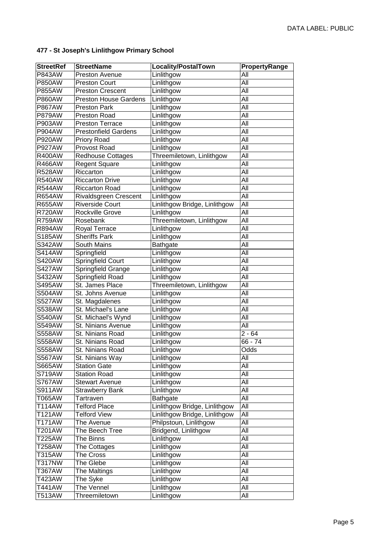| Linlithgow<br>P843AW<br>Preston Avenue<br>All<br>Linlithgow<br>All<br><b>P850AW</b><br><b>Preston Court</b><br><b>P855AW</b><br>Linlithgow<br>All<br><b>Preston Crescent</b><br><b>Preston House Gardens</b><br>Linlithgow<br>All<br><b>P860AW</b><br><b>P867AW</b><br>Linlithgow<br>All<br><b>Preston Park</b><br>Linlithgow<br><b>P879AW</b><br>Preston Road<br>All<br>P903AW<br>Linlithgow<br>All<br><b>Preston Terrace</b><br><b>Prestonfield Gardens</b><br>Linlithgow<br>All<br><b>P904AW</b><br><b>P920AW</b><br>Priory Road<br>Linlithgow<br>All<br><b>P927AW</b><br>Provost Road<br>Linlithgow<br>All<br><b>Redhouse Cottages</b><br>Threemiletown, Linlithgow<br>All<br><b>R400AW</b><br>All<br>R466AW<br><b>Regent Square</b><br>Linlithgow<br>Riccarton<br>Linlithgow<br>All<br><b>R528AW</b><br>Linlithgow<br>All<br><b>R540AW</b><br><b>Riccarton Drive</b><br><b>Riccarton Road</b><br>Linlithgow<br>All<br><b>R544AW</b><br>All<br>Rivaldsgreen Crescent<br>Linlithgow<br><b>R654AW</b><br><b>Riverside Court</b><br>All<br>Linlithgow Bridge, Linlithgow<br><b>R655AW</b><br>Rockville Grove<br>All<br><b>R720AW</b><br>Linlithgow<br>Threemiletown, Linlithgow<br><b>R759AW</b><br>Rosebank<br>All<br><b>R894AW</b><br>Linlithgow<br>All<br>Royal Terrace<br><b>Sheriffs Park</b><br>All<br>S185AW<br>Linlithgow<br><b>S342AW</b><br>South Mains<br>All<br>Bathgate<br>Springfield<br>Linlithgow<br>All<br><b>S414AW</b><br>Springfield Court<br>S420AW<br>Linlithgow<br>All<br>Springfield Grange<br>All<br><b>S427AW</b><br>Linlithgow<br>Springfield Road<br>S432AW<br>Linlithgow<br>All<br>St. James Place<br>Threemiletown, Linlithgow<br>All<br>S495AW<br>St. Johns Avenue<br>Linlithgow<br>All<br>S504AW<br><b>S527AW</b><br>St. Magdalenes<br>Linlithgow<br>All<br>St. Michael's Lane<br>Linlithgow<br>All<br>S538AW<br>St. Michael's Wynd<br>Linlithgow<br>All<br>S540AW<br>St. Ninians Avenue<br>Linlithgow<br>All<br>S549AW<br>Linlithgow<br>S558AW<br>St. Ninians Road<br>$2 - 64$<br>Linlithgow<br>$66 - 74$<br>S558AW<br>St. Ninians Road<br>Linlithgow<br>Odds<br><b>S558AW</b><br>St. Ninians Road<br>All<br>S567AW<br>St. Ninians Way<br>Linlithgow<br>All<br>S665AW<br><b>Station Gate</b><br>Linlithgow<br><b>Station Road</b><br>Linlithgow<br>All<br>S719AW<br><b>Stewart Avenue</b><br>Linlithgow<br><b>S767AW</b><br>All<br>S911AW<br><b>Strawberry Bank</b><br>Linlithgow<br>All<br>T065AW<br>Tartraven<br>Bathgate<br>All<br>T114AW<br><b>Telford Place</b><br>Linlithgow Bridge, Linlithgow<br>All<br>T121AW<br>Linlithgow Bridge, Linlithgow<br>All<br><b>Telford View</b><br>T171AW<br>Philpstoun, Linlithgow<br>All<br>The Avenue<br>Bridgend, Linlithgow<br>T201AW<br>The Beech Tree<br>All<br>T225AW<br>Linlithgow<br>All<br>The Binns<br>Linlithgow<br>T258AW<br>The Cottages<br>All<br>T315AW<br>Linlithgow<br>The Cross<br>All<br>T317NW<br>The Glebe<br>Linlithgow<br>All<br>The Maltings<br>Linlithgow<br>All<br>T367AW<br>T423AW<br>The Syke<br>Linlithgow<br>All<br>The Vennel<br>$\overline{T}$ 441AW<br>Linlithgow<br>All | <b>StreetRef</b> | <b>StreetName</b> | Locality/PostalTown | <b>PropertyRange</b> |
|-------------------------------------------------------------------------------------------------------------------------------------------------------------------------------------------------------------------------------------------------------------------------------------------------------------------------------------------------------------------------------------------------------------------------------------------------------------------------------------------------------------------------------------------------------------------------------------------------------------------------------------------------------------------------------------------------------------------------------------------------------------------------------------------------------------------------------------------------------------------------------------------------------------------------------------------------------------------------------------------------------------------------------------------------------------------------------------------------------------------------------------------------------------------------------------------------------------------------------------------------------------------------------------------------------------------------------------------------------------------------------------------------------------------------------------------------------------------------------------------------------------------------------------------------------------------------------------------------------------------------------------------------------------------------------------------------------------------------------------------------------------------------------------------------------------------------------------------------------------------------------------------------------------------------------------------------------------------------------------------------------------------------------------------------------------------------------------------------------------------------------------------------------------------------------------------------------------------------------------------------------------------------------------------------------------------------------------------------------------------------------------------------------------------------------------------------------------------------------------------------------------------------------------------------------------------------------------------------------------------------------------------------------------------------------------------------------------------------------------------------------------------------------------------------------------------------------------------------------------------------------------------------------------------------------------------------------------------------------------------------------------------------------------------------------------------------------------|------------------|-------------------|---------------------|----------------------|
|                                                                                                                                                                                                                                                                                                                                                                                                                                                                                                                                                                                                                                                                                                                                                                                                                                                                                                                                                                                                                                                                                                                                                                                                                                                                                                                                                                                                                                                                                                                                                                                                                                                                                                                                                                                                                                                                                                                                                                                                                                                                                                                                                                                                                                                                                                                                                                                                                                                                                                                                                                                                                                                                                                                                                                                                                                                                                                                                                                                                                                                                                     |                  |                   |                     |                      |
|                                                                                                                                                                                                                                                                                                                                                                                                                                                                                                                                                                                                                                                                                                                                                                                                                                                                                                                                                                                                                                                                                                                                                                                                                                                                                                                                                                                                                                                                                                                                                                                                                                                                                                                                                                                                                                                                                                                                                                                                                                                                                                                                                                                                                                                                                                                                                                                                                                                                                                                                                                                                                                                                                                                                                                                                                                                                                                                                                                                                                                                                                     |                  |                   |                     |                      |
|                                                                                                                                                                                                                                                                                                                                                                                                                                                                                                                                                                                                                                                                                                                                                                                                                                                                                                                                                                                                                                                                                                                                                                                                                                                                                                                                                                                                                                                                                                                                                                                                                                                                                                                                                                                                                                                                                                                                                                                                                                                                                                                                                                                                                                                                                                                                                                                                                                                                                                                                                                                                                                                                                                                                                                                                                                                                                                                                                                                                                                                                                     |                  |                   |                     |                      |
|                                                                                                                                                                                                                                                                                                                                                                                                                                                                                                                                                                                                                                                                                                                                                                                                                                                                                                                                                                                                                                                                                                                                                                                                                                                                                                                                                                                                                                                                                                                                                                                                                                                                                                                                                                                                                                                                                                                                                                                                                                                                                                                                                                                                                                                                                                                                                                                                                                                                                                                                                                                                                                                                                                                                                                                                                                                                                                                                                                                                                                                                                     |                  |                   |                     |                      |
|                                                                                                                                                                                                                                                                                                                                                                                                                                                                                                                                                                                                                                                                                                                                                                                                                                                                                                                                                                                                                                                                                                                                                                                                                                                                                                                                                                                                                                                                                                                                                                                                                                                                                                                                                                                                                                                                                                                                                                                                                                                                                                                                                                                                                                                                                                                                                                                                                                                                                                                                                                                                                                                                                                                                                                                                                                                                                                                                                                                                                                                                                     |                  |                   |                     |                      |
|                                                                                                                                                                                                                                                                                                                                                                                                                                                                                                                                                                                                                                                                                                                                                                                                                                                                                                                                                                                                                                                                                                                                                                                                                                                                                                                                                                                                                                                                                                                                                                                                                                                                                                                                                                                                                                                                                                                                                                                                                                                                                                                                                                                                                                                                                                                                                                                                                                                                                                                                                                                                                                                                                                                                                                                                                                                                                                                                                                                                                                                                                     |                  |                   |                     |                      |
|                                                                                                                                                                                                                                                                                                                                                                                                                                                                                                                                                                                                                                                                                                                                                                                                                                                                                                                                                                                                                                                                                                                                                                                                                                                                                                                                                                                                                                                                                                                                                                                                                                                                                                                                                                                                                                                                                                                                                                                                                                                                                                                                                                                                                                                                                                                                                                                                                                                                                                                                                                                                                                                                                                                                                                                                                                                                                                                                                                                                                                                                                     |                  |                   |                     |                      |
|                                                                                                                                                                                                                                                                                                                                                                                                                                                                                                                                                                                                                                                                                                                                                                                                                                                                                                                                                                                                                                                                                                                                                                                                                                                                                                                                                                                                                                                                                                                                                                                                                                                                                                                                                                                                                                                                                                                                                                                                                                                                                                                                                                                                                                                                                                                                                                                                                                                                                                                                                                                                                                                                                                                                                                                                                                                                                                                                                                                                                                                                                     |                  |                   |                     |                      |
|                                                                                                                                                                                                                                                                                                                                                                                                                                                                                                                                                                                                                                                                                                                                                                                                                                                                                                                                                                                                                                                                                                                                                                                                                                                                                                                                                                                                                                                                                                                                                                                                                                                                                                                                                                                                                                                                                                                                                                                                                                                                                                                                                                                                                                                                                                                                                                                                                                                                                                                                                                                                                                                                                                                                                                                                                                                                                                                                                                                                                                                                                     |                  |                   |                     |                      |
|                                                                                                                                                                                                                                                                                                                                                                                                                                                                                                                                                                                                                                                                                                                                                                                                                                                                                                                                                                                                                                                                                                                                                                                                                                                                                                                                                                                                                                                                                                                                                                                                                                                                                                                                                                                                                                                                                                                                                                                                                                                                                                                                                                                                                                                                                                                                                                                                                                                                                                                                                                                                                                                                                                                                                                                                                                                                                                                                                                                                                                                                                     |                  |                   |                     |                      |
|                                                                                                                                                                                                                                                                                                                                                                                                                                                                                                                                                                                                                                                                                                                                                                                                                                                                                                                                                                                                                                                                                                                                                                                                                                                                                                                                                                                                                                                                                                                                                                                                                                                                                                                                                                                                                                                                                                                                                                                                                                                                                                                                                                                                                                                                                                                                                                                                                                                                                                                                                                                                                                                                                                                                                                                                                                                                                                                                                                                                                                                                                     |                  |                   |                     |                      |
|                                                                                                                                                                                                                                                                                                                                                                                                                                                                                                                                                                                                                                                                                                                                                                                                                                                                                                                                                                                                                                                                                                                                                                                                                                                                                                                                                                                                                                                                                                                                                                                                                                                                                                                                                                                                                                                                                                                                                                                                                                                                                                                                                                                                                                                                                                                                                                                                                                                                                                                                                                                                                                                                                                                                                                                                                                                                                                                                                                                                                                                                                     |                  |                   |                     |                      |
|                                                                                                                                                                                                                                                                                                                                                                                                                                                                                                                                                                                                                                                                                                                                                                                                                                                                                                                                                                                                                                                                                                                                                                                                                                                                                                                                                                                                                                                                                                                                                                                                                                                                                                                                                                                                                                                                                                                                                                                                                                                                                                                                                                                                                                                                                                                                                                                                                                                                                                                                                                                                                                                                                                                                                                                                                                                                                                                                                                                                                                                                                     |                  |                   |                     |                      |
|                                                                                                                                                                                                                                                                                                                                                                                                                                                                                                                                                                                                                                                                                                                                                                                                                                                                                                                                                                                                                                                                                                                                                                                                                                                                                                                                                                                                                                                                                                                                                                                                                                                                                                                                                                                                                                                                                                                                                                                                                                                                                                                                                                                                                                                                                                                                                                                                                                                                                                                                                                                                                                                                                                                                                                                                                                                                                                                                                                                                                                                                                     |                  |                   |                     |                      |
|                                                                                                                                                                                                                                                                                                                                                                                                                                                                                                                                                                                                                                                                                                                                                                                                                                                                                                                                                                                                                                                                                                                                                                                                                                                                                                                                                                                                                                                                                                                                                                                                                                                                                                                                                                                                                                                                                                                                                                                                                                                                                                                                                                                                                                                                                                                                                                                                                                                                                                                                                                                                                                                                                                                                                                                                                                                                                                                                                                                                                                                                                     |                  |                   |                     |                      |
|                                                                                                                                                                                                                                                                                                                                                                                                                                                                                                                                                                                                                                                                                                                                                                                                                                                                                                                                                                                                                                                                                                                                                                                                                                                                                                                                                                                                                                                                                                                                                                                                                                                                                                                                                                                                                                                                                                                                                                                                                                                                                                                                                                                                                                                                                                                                                                                                                                                                                                                                                                                                                                                                                                                                                                                                                                                                                                                                                                                                                                                                                     |                  |                   |                     |                      |
|                                                                                                                                                                                                                                                                                                                                                                                                                                                                                                                                                                                                                                                                                                                                                                                                                                                                                                                                                                                                                                                                                                                                                                                                                                                                                                                                                                                                                                                                                                                                                                                                                                                                                                                                                                                                                                                                                                                                                                                                                                                                                                                                                                                                                                                                                                                                                                                                                                                                                                                                                                                                                                                                                                                                                                                                                                                                                                                                                                                                                                                                                     |                  |                   |                     |                      |
|                                                                                                                                                                                                                                                                                                                                                                                                                                                                                                                                                                                                                                                                                                                                                                                                                                                                                                                                                                                                                                                                                                                                                                                                                                                                                                                                                                                                                                                                                                                                                                                                                                                                                                                                                                                                                                                                                                                                                                                                                                                                                                                                                                                                                                                                                                                                                                                                                                                                                                                                                                                                                                                                                                                                                                                                                                                                                                                                                                                                                                                                                     |                  |                   |                     |                      |
|                                                                                                                                                                                                                                                                                                                                                                                                                                                                                                                                                                                                                                                                                                                                                                                                                                                                                                                                                                                                                                                                                                                                                                                                                                                                                                                                                                                                                                                                                                                                                                                                                                                                                                                                                                                                                                                                                                                                                                                                                                                                                                                                                                                                                                                                                                                                                                                                                                                                                                                                                                                                                                                                                                                                                                                                                                                                                                                                                                                                                                                                                     |                  |                   |                     |                      |
|                                                                                                                                                                                                                                                                                                                                                                                                                                                                                                                                                                                                                                                                                                                                                                                                                                                                                                                                                                                                                                                                                                                                                                                                                                                                                                                                                                                                                                                                                                                                                                                                                                                                                                                                                                                                                                                                                                                                                                                                                                                                                                                                                                                                                                                                                                                                                                                                                                                                                                                                                                                                                                                                                                                                                                                                                                                                                                                                                                                                                                                                                     |                  |                   |                     |                      |
|                                                                                                                                                                                                                                                                                                                                                                                                                                                                                                                                                                                                                                                                                                                                                                                                                                                                                                                                                                                                                                                                                                                                                                                                                                                                                                                                                                                                                                                                                                                                                                                                                                                                                                                                                                                                                                                                                                                                                                                                                                                                                                                                                                                                                                                                                                                                                                                                                                                                                                                                                                                                                                                                                                                                                                                                                                                                                                                                                                                                                                                                                     |                  |                   |                     |                      |
|                                                                                                                                                                                                                                                                                                                                                                                                                                                                                                                                                                                                                                                                                                                                                                                                                                                                                                                                                                                                                                                                                                                                                                                                                                                                                                                                                                                                                                                                                                                                                                                                                                                                                                                                                                                                                                                                                                                                                                                                                                                                                                                                                                                                                                                                                                                                                                                                                                                                                                                                                                                                                                                                                                                                                                                                                                                                                                                                                                                                                                                                                     |                  |                   |                     |                      |
|                                                                                                                                                                                                                                                                                                                                                                                                                                                                                                                                                                                                                                                                                                                                                                                                                                                                                                                                                                                                                                                                                                                                                                                                                                                                                                                                                                                                                                                                                                                                                                                                                                                                                                                                                                                                                                                                                                                                                                                                                                                                                                                                                                                                                                                                                                                                                                                                                                                                                                                                                                                                                                                                                                                                                                                                                                                                                                                                                                                                                                                                                     |                  |                   |                     |                      |
|                                                                                                                                                                                                                                                                                                                                                                                                                                                                                                                                                                                                                                                                                                                                                                                                                                                                                                                                                                                                                                                                                                                                                                                                                                                                                                                                                                                                                                                                                                                                                                                                                                                                                                                                                                                                                                                                                                                                                                                                                                                                                                                                                                                                                                                                                                                                                                                                                                                                                                                                                                                                                                                                                                                                                                                                                                                                                                                                                                                                                                                                                     |                  |                   |                     |                      |
|                                                                                                                                                                                                                                                                                                                                                                                                                                                                                                                                                                                                                                                                                                                                                                                                                                                                                                                                                                                                                                                                                                                                                                                                                                                                                                                                                                                                                                                                                                                                                                                                                                                                                                                                                                                                                                                                                                                                                                                                                                                                                                                                                                                                                                                                                                                                                                                                                                                                                                                                                                                                                                                                                                                                                                                                                                                                                                                                                                                                                                                                                     |                  |                   |                     |                      |
|                                                                                                                                                                                                                                                                                                                                                                                                                                                                                                                                                                                                                                                                                                                                                                                                                                                                                                                                                                                                                                                                                                                                                                                                                                                                                                                                                                                                                                                                                                                                                                                                                                                                                                                                                                                                                                                                                                                                                                                                                                                                                                                                                                                                                                                                                                                                                                                                                                                                                                                                                                                                                                                                                                                                                                                                                                                                                                                                                                                                                                                                                     |                  |                   |                     |                      |
|                                                                                                                                                                                                                                                                                                                                                                                                                                                                                                                                                                                                                                                                                                                                                                                                                                                                                                                                                                                                                                                                                                                                                                                                                                                                                                                                                                                                                                                                                                                                                                                                                                                                                                                                                                                                                                                                                                                                                                                                                                                                                                                                                                                                                                                                                                                                                                                                                                                                                                                                                                                                                                                                                                                                                                                                                                                                                                                                                                                                                                                                                     |                  |                   |                     |                      |
|                                                                                                                                                                                                                                                                                                                                                                                                                                                                                                                                                                                                                                                                                                                                                                                                                                                                                                                                                                                                                                                                                                                                                                                                                                                                                                                                                                                                                                                                                                                                                                                                                                                                                                                                                                                                                                                                                                                                                                                                                                                                                                                                                                                                                                                                                                                                                                                                                                                                                                                                                                                                                                                                                                                                                                                                                                                                                                                                                                                                                                                                                     |                  |                   |                     |                      |
|                                                                                                                                                                                                                                                                                                                                                                                                                                                                                                                                                                                                                                                                                                                                                                                                                                                                                                                                                                                                                                                                                                                                                                                                                                                                                                                                                                                                                                                                                                                                                                                                                                                                                                                                                                                                                                                                                                                                                                                                                                                                                                                                                                                                                                                                                                                                                                                                                                                                                                                                                                                                                                                                                                                                                                                                                                                                                                                                                                                                                                                                                     |                  |                   |                     |                      |
|                                                                                                                                                                                                                                                                                                                                                                                                                                                                                                                                                                                                                                                                                                                                                                                                                                                                                                                                                                                                                                                                                                                                                                                                                                                                                                                                                                                                                                                                                                                                                                                                                                                                                                                                                                                                                                                                                                                                                                                                                                                                                                                                                                                                                                                                                                                                                                                                                                                                                                                                                                                                                                                                                                                                                                                                                                                                                                                                                                                                                                                                                     |                  |                   |                     |                      |
|                                                                                                                                                                                                                                                                                                                                                                                                                                                                                                                                                                                                                                                                                                                                                                                                                                                                                                                                                                                                                                                                                                                                                                                                                                                                                                                                                                                                                                                                                                                                                                                                                                                                                                                                                                                                                                                                                                                                                                                                                                                                                                                                                                                                                                                                                                                                                                                                                                                                                                                                                                                                                                                                                                                                                                                                                                                                                                                                                                                                                                                                                     |                  |                   |                     |                      |
|                                                                                                                                                                                                                                                                                                                                                                                                                                                                                                                                                                                                                                                                                                                                                                                                                                                                                                                                                                                                                                                                                                                                                                                                                                                                                                                                                                                                                                                                                                                                                                                                                                                                                                                                                                                                                                                                                                                                                                                                                                                                                                                                                                                                                                                                                                                                                                                                                                                                                                                                                                                                                                                                                                                                                                                                                                                                                                                                                                                                                                                                                     |                  |                   |                     |                      |
|                                                                                                                                                                                                                                                                                                                                                                                                                                                                                                                                                                                                                                                                                                                                                                                                                                                                                                                                                                                                                                                                                                                                                                                                                                                                                                                                                                                                                                                                                                                                                                                                                                                                                                                                                                                                                                                                                                                                                                                                                                                                                                                                                                                                                                                                                                                                                                                                                                                                                                                                                                                                                                                                                                                                                                                                                                                                                                                                                                                                                                                                                     |                  |                   |                     |                      |
|                                                                                                                                                                                                                                                                                                                                                                                                                                                                                                                                                                                                                                                                                                                                                                                                                                                                                                                                                                                                                                                                                                                                                                                                                                                                                                                                                                                                                                                                                                                                                                                                                                                                                                                                                                                                                                                                                                                                                                                                                                                                                                                                                                                                                                                                                                                                                                                                                                                                                                                                                                                                                                                                                                                                                                                                                                                                                                                                                                                                                                                                                     |                  |                   |                     |                      |
|                                                                                                                                                                                                                                                                                                                                                                                                                                                                                                                                                                                                                                                                                                                                                                                                                                                                                                                                                                                                                                                                                                                                                                                                                                                                                                                                                                                                                                                                                                                                                                                                                                                                                                                                                                                                                                                                                                                                                                                                                                                                                                                                                                                                                                                                                                                                                                                                                                                                                                                                                                                                                                                                                                                                                                                                                                                                                                                                                                                                                                                                                     |                  |                   |                     |                      |
|                                                                                                                                                                                                                                                                                                                                                                                                                                                                                                                                                                                                                                                                                                                                                                                                                                                                                                                                                                                                                                                                                                                                                                                                                                                                                                                                                                                                                                                                                                                                                                                                                                                                                                                                                                                                                                                                                                                                                                                                                                                                                                                                                                                                                                                                                                                                                                                                                                                                                                                                                                                                                                                                                                                                                                                                                                                                                                                                                                                                                                                                                     |                  |                   |                     |                      |
|                                                                                                                                                                                                                                                                                                                                                                                                                                                                                                                                                                                                                                                                                                                                                                                                                                                                                                                                                                                                                                                                                                                                                                                                                                                                                                                                                                                                                                                                                                                                                                                                                                                                                                                                                                                                                                                                                                                                                                                                                                                                                                                                                                                                                                                                                                                                                                                                                                                                                                                                                                                                                                                                                                                                                                                                                                                                                                                                                                                                                                                                                     |                  |                   |                     |                      |
|                                                                                                                                                                                                                                                                                                                                                                                                                                                                                                                                                                                                                                                                                                                                                                                                                                                                                                                                                                                                                                                                                                                                                                                                                                                                                                                                                                                                                                                                                                                                                                                                                                                                                                                                                                                                                                                                                                                                                                                                                                                                                                                                                                                                                                                                                                                                                                                                                                                                                                                                                                                                                                                                                                                                                                                                                                                                                                                                                                                                                                                                                     |                  |                   |                     |                      |
|                                                                                                                                                                                                                                                                                                                                                                                                                                                                                                                                                                                                                                                                                                                                                                                                                                                                                                                                                                                                                                                                                                                                                                                                                                                                                                                                                                                                                                                                                                                                                                                                                                                                                                                                                                                                                                                                                                                                                                                                                                                                                                                                                                                                                                                                                                                                                                                                                                                                                                                                                                                                                                                                                                                                                                                                                                                                                                                                                                                                                                                                                     |                  |                   |                     |                      |
|                                                                                                                                                                                                                                                                                                                                                                                                                                                                                                                                                                                                                                                                                                                                                                                                                                                                                                                                                                                                                                                                                                                                                                                                                                                                                                                                                                                                                                                                                                                                                                                                                                                                                                                                                                                                                                                                                                                                                                                                                                                                                                                                                                                                                                                                                                                                                                                                                                                                                                                                                                                                                                                                                                                                                                                                                                                                                                                                                                                                                                                                                     |                  |                   |                     |                      |
|                                                                                                                                                                                                                                                                                                                                                                                                                                                                                                                                                                                                                                                                                                                                                                                                                                                                                                                                                                                                                                                                                                                                                                                                                                                                                                                                                                                                                                                                                                                                                                                                                                                                                                                                                                                                                                                                                                                                                                                                                                                                                                                                                                                                                                                                                                                                                                                                                                                                                                                                                                                                                                                                                                                                                                                                                                                                                                                                                                                                                                                                                     |                  |                   |                     |                      |
|                                                                                                                                                                                                                                                                                                                                                                                                                                                                                                                                                                                                                                                                                                                                                                                                                                                                                                                                                                                                                                                                                                                                                                                                                                                                                                                                                                                                                                                                                                                                                                                                                                                                                                                                                                                                                                                                                                                                                                                                                                                                                                                                                                                                                                                                                                                                                                                                                                                                                                                                                                                                                                                                                                                                                                                                                                                                                                                                                                                                                                                                                     |                  |                   |                     |                      |
|                                                                                                                                                                                                                                                                                                                                                                                                                                                                                                                                                                                                                                                                                                                                                                                                                                                                                                                                                                                                                                                                                                                                                                                                                                                                                                                                                                                                                                                                                                                                                                                                                                                                                                                                                                                                                                                                                                                                                                                                                                                                                                                                                                                                                                                                                                                                                                                                                                                                                                                                                                                                                                                                                                                                                                                                                                                                                                                                                                                                                                                                                     |                  |                   |                     |                      |
|                                                                                                                                                                                                                                                                                                                                                                                                                                                                                                                                                                                                                                                                                                                                                                                                                                                                                                                                                                                                                                                                                                                                                                                                                                                                                                                                                                                                                                                                                                                                                                                                                                                                                                                                                                                                                                                                                                                                                                                                                                                                                                                                                                                                                                                                                                                                                                                                                                                                                                                                                                                                                                                                                                                                                                                                                                                                                                                                                                                                                                                                                     |                  |                   |                     |                      |
|                                                                                                                                                                                                                                                                                                                                                                                                                                                                                                                                                                                                                                                                                                                                                                                                                                                                                                                                                                                                                                                                                                                                                                                                                                                                                                                                                                                                                                                                                                                                                                                                                                                                                                                                                                                                                                                                                                                                                                                                                                                                                                                                                                                                                                                                                                                                                                                                                                                                                                                                                                                                                                                                                                                                                                                                                                                                                                                                                                                                                                                                                     |                  |                   |                     |                      |
|                                                                                                                                                                                                                                                                                                                                                                                                                                                                                                                                                                                                                                                                                                                                                                                                                                                                                                                                                                                                                                                                                                                                                                                                                                                                                                                                                                                                                                                                                                                                                                                                                                                                                                                                                                                                                                                                                                                                                                                                                                                                                                                                                                                                                                                                                                                                                                                                                                                                                                                                                                                                                                                                                                                                                                                                                                                                                                                                                                                                                                                                                     |                  |                   |                     |                      |
|                                                                                                                                                                                                                                                                                                                                                                                                                                                                                                                                                                                                                                                                                                                                                                                                                                                                                                                                                                                                                                                                                                                                                                                                                                                                                                                                                                                                                                                                                                                                                                                                                                                                                                                                                                                                                                                                                                                                                                                                                                                                                                                                                                                                                                                                                                                                                                                                                                                                                                                                                                                                                                                                                                                                                                                                                                                                                                                                                                                                                                                                                     |                  |                   |                     |                      |
|                                                                                                                                                                                                                                                                                                                                                                                                                                                                                                                                                                                                                                                                                                                                                                                                                                                                                                                                                                                                                                                                                                                                                                                                                                                                                                                                                                                                                                                                                                                                                                                                                                                                                                                                                                                                                                                                                                                                                                                                                                                                                                                                                                                                                                                                                                                                                                                                                                                                                                                                                                                                                                                                                                                                                                                                                                                                                                                                                                                                                                                                                     |                  |                   |                     |                      |
|                                                                                                                                                                                                                                                                                                                                                                                                                                                                                                                                                                                                                                                                                                                                                                                                                                                                                                                                                                                                                                                                                                                                                                                                                                                                                                                                                                                                                                                                                                                                                                                                                                                                                                                                                                                                                                                                                                                                                                                                                                                                                                                                                                                                                                                                                                                                                                                                                                                                                                                                                                                                                                                                                                                                                                                                                                                                                                                                                                                                                                                                                     |                  |                   |                     |                      |
|                                                                                                                                                                                                                                                                                                                                                                                                                                                                                                                                                                                                                                                                                                                                                                                                                                                                                                                                                                                                                                                                                                                                                                                                                                                                                                                                                                                                                                                                                                                                                                                                                                                                                                                                                                                                                                                                                                                                                                                                                                                                                                                                                                                                                                                                                                                                                                                                                                                                                                                                                                                                                                                                                                                                                                                                                                                                                                                                                                                                                                                                                     |                  |                   |                     |                      |
|                                                                                                                                                                                                                                                                                                                                                                                                                                                                                                                                                                                                                                                                                                                                                                                                                                                                                                                                                                                                                                                                                                                                                                                                                                                                                                                                                                                                                                                                                                                                                                                                                                                                                                                                                                                                                                                                                                                                                                                                                                                                                                                                                                                                                                                                                                                                                                                                                                                                                                                                                                                                                                                                                                                                                                                                                                                                                                                                                                                                                                                                                     |                  |                   |                     |                      |
| Linlithgow<br>All<br>T513AW<br>Threemiletown                                                                                                                                                                                                                                                                                                                                                                                                                                                                                                                                                                                                                                                                                                                                                                                                                                                                                                                                                                                                                                                                                                                                                                                                                                                                                                                                                                                                                                                                                                                                                                                                                                                                                                                                                                                                                                                                                                                                                                                                                                                                                                                                                                                                                                                                                                                                                                                                                                                                                                                                                                                                                                                                                                                                                                                                                                                                                                                                                                                                                                        |                  |                   |                     |                      |